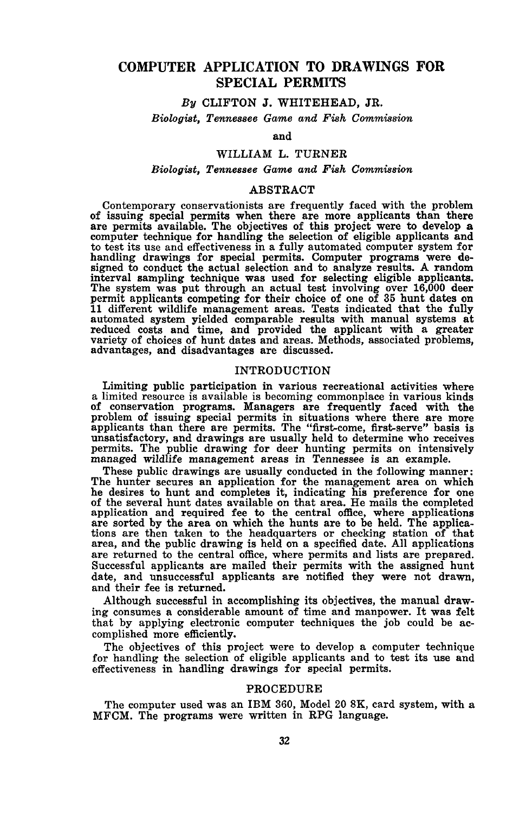# **COMPUTER APPLICATION TO DRAWINGS FOR SPECIAL PERMITS**

## *By* CLIFTON J. WHITEHEAD, JR.

*Biologist, Tennessee Game and Fish Commission*

## and

## WILLIAM L. TURNER

## *Biologist, Tennessee Game and Fish Commission*

### ABSTRACT

Contemporary conservationists are frequently faced with the problem<br>of issuing special permits when there are more applicants than there are permits available. The objectives of this project were to develop a computer technique for handling the selection of eligible applicants and to test its use and effectiveness in a fully automated computer system for handling drawings for special permits. Computer programs were designed to conduct the actual selection and to analyze results. A random interval sampling technique was used for selecting eligible applicants. The system was put through an actual test involving over 16,000 deer permit applicants competing for their choice of one of <sup>35</sup> hunt dates on <sup>11</sup> different wildlife management areas. Tests indicated that the fully automated system yielded comparable results with manual systems at reduced costs and time, and provided the applicant with a greater variety of choices of hunt dates and areas. Methods, associated problems, advantages, and disadvantages are discussed.

#### INTRODUCTION

Limiting public participation in various recreational activities where <sup>a</sup> limited resource is available is becoming commonplace in various kinds of conservation programs. Managers are frequently faced with the problem of issuing special permits in situations where there are more applicants than there are permits. The "first-come, first-serve" basis is unsatisfactory, and drawings are usually held to determine who receives permits. The public drawing for deer hunting permits on intensively managed wildlife management areas in Tennessee is an example.

These public drawings are usually conducted in the following manner:<br>The hunter secures an application for the management area on which<br>he desires to hunt and completes it, indicating his preference for one<br>of the several application and required fee to the central office, where applications are sorted by the area on which the hunts are to be held. The applications are then taken to the headquarters or checking station of that area, and the area, and the public drawing is held on <sup>a</sup> specified date. All applications are returned to the central office, where permits and lists are prepared. Successful applicants are mailed their permits with the assigned hunt date, and unsuccessful applicants are notified they were not drawn, and their fee is returned.

Although successful in accomplishing its objectives, the manual drawing consumes a considerable amount of time and manpower. It was felt that by applying electronic computer techniques the job could be accomplished more efficiently.

The objectives of this project were to develop a computer technique for handling the selection of eligible applicants and to test its use and effectiveness in handling drawings for special permits.

### PROCEDURE

The computer used was an IBM 360, Model <sup>20</sup> SK, card system, with <sup>a</sup> MFCM. The programs were written in RPG language.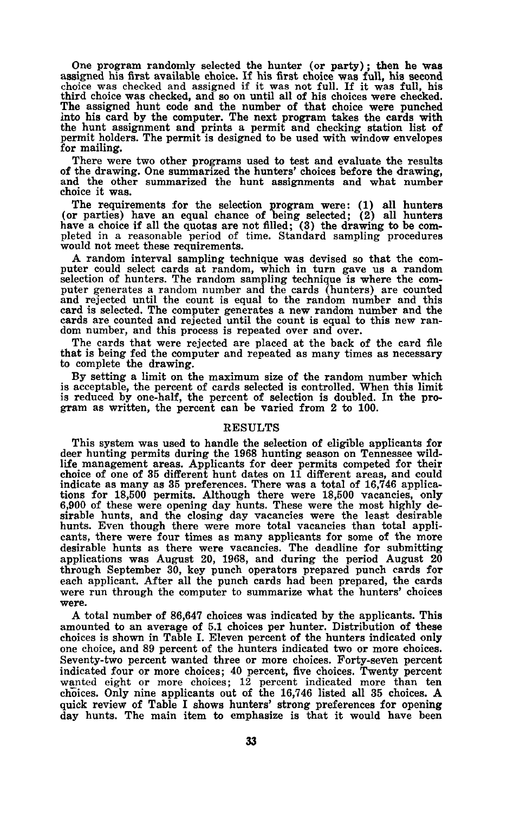One program randomly selected the hunter (or party); then he was<br>assigned his first available choice. If his first choice was full, his second<br>choice was checked and assigned if it was not full. If it was full, his<br>third c The assigned hunt code and the number of that choice were punched into his card by the computer. The next program takes the cards with the hunt assignment and prints a permit and checking station list of permit holders. The permit is designed to be used with window envelopes for mailing.

There were two other programs used to test and evaluate the results of the drawing. One summarized the hunters' choices before the drawing, and the other summarized the hunt assignments and what number choice it was.

The requirements for the selection program were: (1) all hunters (or parties) have an equal chance of being selected; (2) all hunters have <sup>a</sup> choice if all the quotas are not filled; (3) the drawing to be com- pleted in <sup>a</sup> reasonable period of time. Standard sampling procedures would not meet these requirements.

A random interval sampling technique was devised so that the com-<br>puter could select cards at random, which in turn gave us a random<br>selection of hunters. The random sampling technique is where the computer generates a random number and the cards (hunters) are counted and rejected until the count is equal to the random number and this card is selected. The computer generates a new random number and the cards are counted and rejected until the count is equal to this new ran- dom number, and this process is repeated over and over.

The cards that were rejected are placed at the back of the card file that is being fed the computer and repeated as many times as necessary to complete the drawing.

By setting a limit on the maximum size of the random number which is acceptable, the percent of cards selected is controlled. When this limit is reduced by one-half, the percent of selection is doubled. In the program as written, the percent can be varied from 2 to 100.

#### RESULTS

This system was used to handle the selection of eligible applicants for deer hunting permits during the 1968 hunting season on Tennessee wildlife management areas. Applicants for deer permits competed for their choice of one of 35 different hunt dates on 11 different areas, and could indicate as many as 35 preferences. There was a total of 16,746 applications for 18,500 permits. Although there were 18,500 vacancies, only 6,900 of these were opening day hunts. These were the most highly desirable hunts, and the closing day vacancies were the least desirable hunts. Even though there were more total vacancies than total applicants, there were four times as many applicants for some of the more desirable hunts as there were vacancies. The deadline for submitting applications was August 20, 1968, and during the period August 20 through September 30, key punch operators prepared punch cards for each applicant. After all the punch cards had been prepared, the cards were run through the computer to summarize what the hunters' choices were.

A total number of 86,647 choices was indicated by the applicants. This amounted to an average of 5.1 choices per hunter. Distribution of these choices is shown in Table I. Eleven percent of the hunters indicated only one choice, and 89 percent of the hunters indicated two or more choices. Seventy-two percent wanted three or more choices. Forty-seven percent indicated four or more choices; 40 percent, five choices. Twenty percent wanted eight or more choices; 12 percent indicated more than ten choices. Only nine applicants out of the 16,746 listed all 35 choices. A quick review of Table I shows hunters' strong preferences for opening day hunts. The main item to emphasize is that it would have been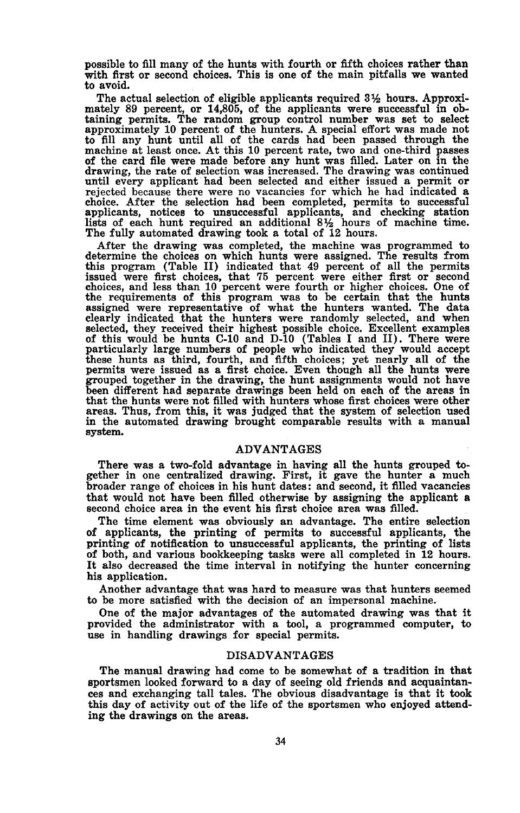possible to fill many of the hunts with fourth or fifth choices rather than with first or second choices. This is one of the main pitfalls we wanted to avoid.

The actual selection of eligible applicants required  $3\frac{1}{2}$  hours. Approximately 89 percent, or 14,805, of the applicants were successful in obtaining permits. The random group control number was set to select approximately 10 percent of the hunters. A special effort was made not to fill any hunt until all of the cards had been passed through the machine at least once. At this 10 percent rate, two and one-third passes of the card file were made before any hunt was filled. Later on in the drawing, the rate of selection was increased. The drawing was continued until every applicant had been selected and either issued <sup>a</sup> permit or rejected because there were no vacancies for which he had indicated <sup>a</sup> choice. After the selection had been completed, permits to successful applicants, notices to unsuccessful applicants, and checking station lists of each hunt required an additional 8% hours of machine time. The fully automated drawing took a total of 12 hours.

After the drawing was completed, the machine was programmed to determine the choices on which hunts were assigned. The results from this program (Table II) indicated that 49 percent of all the permits issued were first choices, that 75 percent were either first or second choices, and less than 10 percent were fourth or higher choices. One of the requirements of this program was to be certain that the hunts assigned were representative of what the hunters wanted. The data clearly indicated that the hunters were randomly selected, and when selected, they received their highest possible choice. Excellent examples of this would be hunts C-l0 and D-l0 (Tables <sup>I</sup> and II). There were particularly large numbers of people who indicated they would accept these hunts as third, fourth, and fifth choices; yet nearly all of the permits were issued as <sup>a</sup> first choice. Even though all the hunts were grouped together in the drawing, the hunt assignments would not have been different had separate drawings been held on each of the areas in areas. Thus, from this, it was judged that the system of selection used in the automated drawing brought comparable results with a manual system.

#### ADVANTAGES

There was a two-fold advantage in having all the hunts grouped together in one centralized drawing. First, it gave the hunter a much broader range of choices in his hunt dates: and second, it filled vacancies that would not have been filled otherwise by assigning the applicant <sup>a</sup> second choice area in the event his first choice area was filled.

The time element was obviously an advantage. The entire selection of applicants, the printing of permits to successful applicants, the printing of notification to unsuccessful applicants, the printing of lists of both, and various bookkeeping tasks were all completed in 12 hours. It also decreased the time interval in notifying the hunter concerning his application.

Another advantage that was hard to measure was that hunters seemed to be more satisfied with the decision of an impersonal machine.

One of the major advantages of the automated drawing was that it provided the administrator with <sup>a</sup> tool, <sup>a</sup> programmed computer, to use in handling drawings for special permits.

### DISADVANTAGES

The manual drawing had come to be somewhat of a tradition in that sportsmen looked forward to <sup>a</sup> day of seeing old friends and acquaintan- ces and exchanging tall tales. The obvious disadvantage is that it took this day of activity out of the life of the sportsmen who enjoyed attending the drawings on the areas.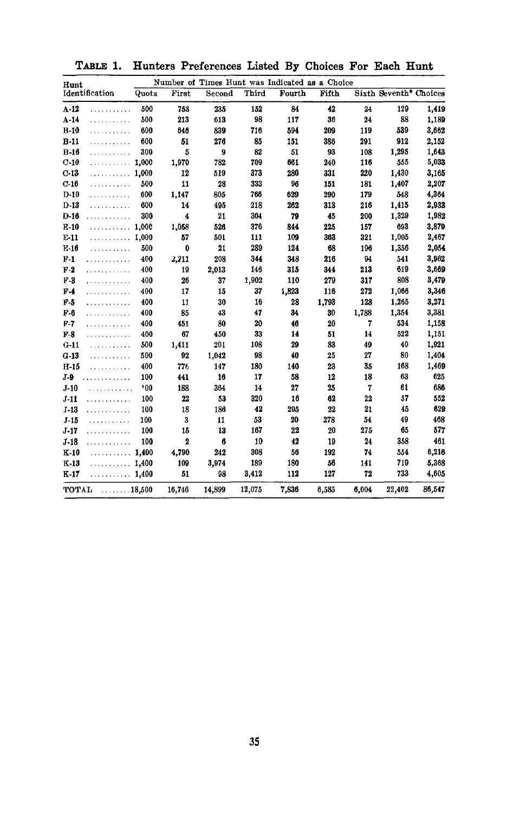| Hunt                            |       | Number of Times Hunt was Indicated as a Choice |        |        |        |       |       |                        |        |  |
|---------------------------------|-------|------------------------------------------------|--------|--------|--------|-------|-------|------------------------|--------|--|
| Identification                  | Quota | First                                          | Second | Third  | Fourth | Fifth |       | Sixth Seventh* Choices |        |  |
| $A-12$<br>.                     | 500   | 753                                            | 235    | 152    | 84     | 42    | 24    | 129                    | 1,419  |  |
| $A-14$<br>.                     | 500   | 213                                            | 613    | 98     | 117    | 36    | 24    | 88                     | 1,189  |  |
| $B-10$<br>.                     | 600   | 646                                            | 839    | 716    | 594    | 209   | 119   | 539                    | 3,662  |  |
| $B-11$<br>.                     | 600   | 51                                             | 276    | 85     | 151    | 386   | 291   | 912                    | 2,152  |  |
| $B-16$<br>.                     | 300   | 5                                              | 9      | 82     | 51     | 93    | 108   | 1,295                  | 1,643  |  |
| $C-10$<br>.                     | 1,000 | 1,970                                          | 782    | 709    | 661    | 240   | 116   | 555                    | 5,033  |  |
| $C-13$<br>. 1,000               |       | 12                                             | 519    | 373    | 280    | 331   | 220   | 1,430                  | 3,165  |  |
| $C-16$<br>.                     | 500   | 11                                             | 28     | 333    | 96     | 151   | 181   | 1,407                  | 2,207  |  |
| $D-10$<br>.                     | 600   | 1,147                                          | 805    | 766    | 629    | 290   | 179   | 548                    | 4,364  |  |
| $D-13$<br>.                     | 600   | 14                                             | 495    | 218    | 262    | 313   | 216   | 1,415                  | 2,933  |  |
| $D-16$<br>.                     | 300   | 4                                              | 21     | 304    | 79     | 45    | 200   | 1,329                  | 1,982  |  |
| $E-10$<br>. 1,000               |       | 1,058                                          | 526    | 376    | 844    | 225   | 157   | 693                    | 3,879  |  |
| $E-11$<br>. 1,000               |       | 57                                             | 501    | 111    | 109    | 363   | 321   | 1,005                  | 2,467  |  |
| $E-16$<br>.                     | 500   | 0                                              | 21     | 289    | 124    | 68    | 196   | 1,356                  | 2,054  |  |
| $F-1$<br>.                      | 400   | 2,211                                          | 208    | 344    | 348    | 216   | 94    | 541                    | 3,962  |  |
| $F-2$<br>.                      | 400   | 19                                             | 2,013  | 146    | 315    | 344   | 213   | 619                    | 3,669  |  |
| $F-3$<br>.                      | 400   | 26                                             | 37     | 1,902  | 110    | 279   | 317   | 808                    | 3,479  |  |
| F-4<br>.                        | 400   | 17                                             | 15     | 37     | 1.823  | 116   | 272   | 1,066                  | 3,346  |  |
| $F-5$<br>.                      | 400   | 11                                             | 30     | 16     | 28     | 1,793 | 128   | 1.265                  | 3,271  |  |
| F-6<br>.                        | 400   | 85                                             | 43     | 47     | 34     | 30    | 1,788 | 1,354                  | 3,381  |  |
| F-7<br>.                        | 400   | 451                                            | 80     | 20     | 46     | 20    | 7     | 534                    | 1,158  |  |
| $F-8$<br>.                      | 400   | 67                                             | 450    | 33     | 14     | 51    | 14    | 522                    | 1,151  |  |
| $G-11$<br>.                     | 500   | 1.411                                          | 201    | 108    | 29     | 83    | 49    | 40                     | 1,921  |  |
| $G-13$<br>.                     | 500   | 92                                             | 1,042  | 98     | 40     | 25    | 27    | 80                     | 1,404  |  |
| $H-15$<br>.                     | 400   | 776                                            | 147    | 180    | 140    | 23    | 35    | 168                    | 1,469  |  |
| $J-9$<br>.                      | 100   | 441                                            | 16     | 17     | 58     | 12    | 18    | 63                     | 625    |  |
| $J-10$<br>.                     | 100   | 188                                            | 364    | 14     | 27     | 25    | 7     | 61                     | 686    |  |
| $J-11$<br>.                     | 100   | 22                                             | 53     | 320    | 16     | 62    | 22    | 57                     | 552    |  |
| $J - 13$<br>.                   | 100   | 18                                             | 186    | 42     | 295    | 22    | 21    | 45                     | 629    |  |
| J.15<br>.                       | 100   | 3                                              | 11     | 53     | 20     | 278   | 54    | 49                     | 468    |  |
| $J - 17$<br>.                   | 100   | 15                                             | 13     | 167    | 22     | 20    | 275   | 65                     | 577    |  |
| $J-18$<br>.                     | 100   | 2                                              | 6      | 10     | 42     | 19    | 24    | 358                    | 461    |  |
| $K-10$<br>. 1,400               |       | 4,790                                          | 242    | 308    | 56     | 192   | 74    | 554                    | 6,216  |  |
| $K-13$<br>.                     | 1,400 | 109                                            | 3,974  | 189    | 180    | 56    | 141   | 719                    | 5,368  |  |
| $K-17$<br>. 1,400               |       | 51                                             | 98     | 3,412  | 112    | 127   | 72    | 733                    | 4,605  |  |
| TOTAL<br>$\ldots \ldots 18,500$ |       | 16.746                                         | 14,899 | 12,075 | 7,836  | 6,585 | 6.004 | 22,402                 | 86,547 |  |

TABLE 1. Hunters Preferences Listed By Choices For Each Hunt